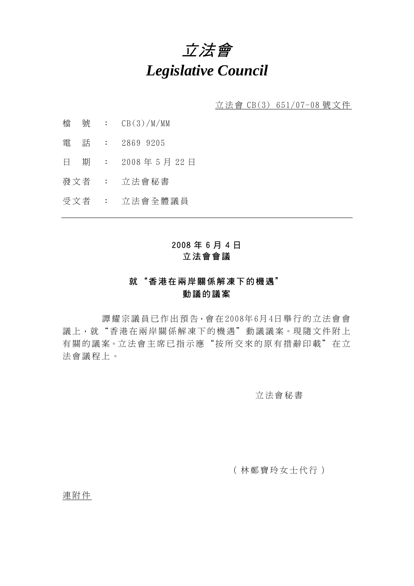

立法會 CB(3) 651/07-08 號文件

- 檔 號 : CB(3)/M/MM
- 電 話 : 2869 9205
- 日 期 : 2008 年 5 月 22 日
- 發文者 : 立法會秘書
- 受文者 : 立法會全體議員

# 2008 年 6 月 4 日 立法會會議

### 就"香港在兩岸關係解凍下的機遇" 動議的議案

 譚耀宗議員已作出預告,會在 2008年 6月 4日舉行的立法會 會 議上,就"香港在兩岸關係解凍下的機遇"動議議案。現隨文件附上 有關的議案。立法會主席已指示應"按所交來的原有措辭印載"在立 法會議程上。

#### 立法會秘書

(林鄭寶玲女士代行)

連附件